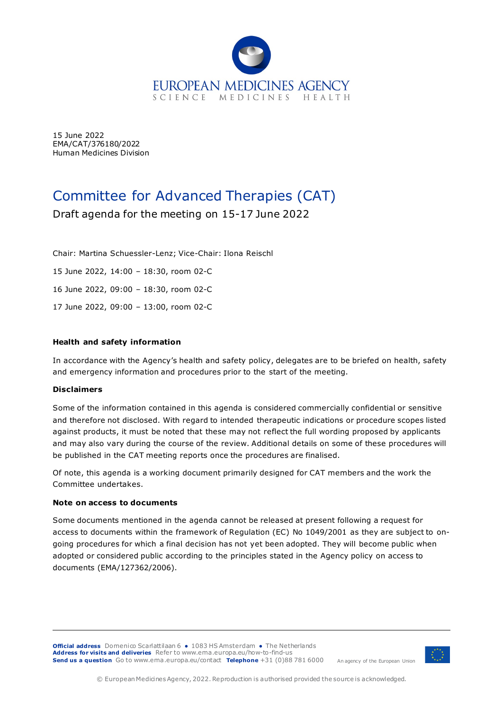

15 June 2022 EMA/CAT/376180/2022 Human Medicines Division

# Committee for Advanced Therapies (CAT)

Draft agenda for the meeting on 15-17 June 2022

Chair: Martina Schuessler-Lenz; Vice-Chair: Ilona Reischl

15 June 2022, 14:00 – 18:30, room 02-C

16 June 2022, 09:00 – 18:30, room 02-C

17 June 2022, 09:00 – 13:00, room 02-C

### **Health and safety information**

In accordance with the Agency's health and safety policy, delegates are to be briefed on health, safety and emergency information and procedures prior to the start of the meeting.

### **Disclaimers**

Some of the information contained in this agenda is considered commercially confidential or sensitive and therefore not disclosed. With regard to intended therapeutic indications or procedure scopes listed against products, it must be noted that these may not reflect the full wording proposed by applicants and may also vary during the course of the review. Additional details on some of these procedures will be published in the [CAT m](http://www.ema.europa.eu/ema/index.jsp?curl=pages/about_us/general/general_content_000508.jsp&mid=WC0b01ac0580028d2a)eeting reports once the procedures are finalised.

Of note, this agenda is a working document primarily designed for CAT members and the work the Committee undertakes.

### **Note on access to documents**

Some documents mentioned in the agenda cannot be released at present following a request for access to documents within the framework of Regulation (EC) No 1049/2001 as they are subject to ongoing procedures for which a final decision has not yet been adopted. They will become public when adopted or considered public according to the principles stated in the Agency policy on access to documents (EMA/127362/2006).

**Official address** Domenico Scarlattilaan 6 **●** 1083 HS Amsterdam **●** The Netherlands **Address for visits and deliveries** Refer t[o www.ema.europa.eu/how-to-find-us](http://www.ema.europa.eu/how-to-find-us) **Send us a question** Go t[o www.ema.europa.eu/contact](http://www.ema.europa.eu/contact) **Telephone** +31 (0)88 781 6000



An agency of the European Union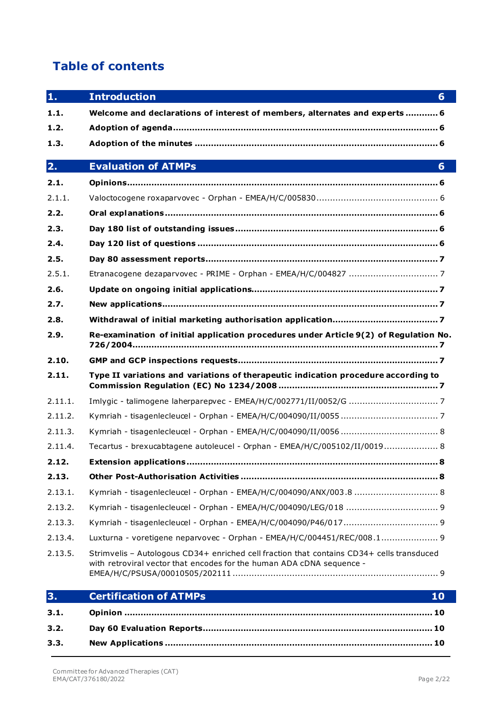# **Table of contents**

| 1.      | <b>Introduction</b><br>6                                                                                                                                           |
|---------|--------------------------------------------------------------------------------------------------------------------------------------------------------------------|
| 1.1.    | Welcome and declarations of interest of members, alternates and experts 6                                                                                          |
| 1.2.    |                                                                                                                                                                    |
| 1.3.    |                                                                                                                                                                    |
| 2.      | <b>Evaluation of ATMPs</b><br>6                                                                                                                                    |
| 2.1.    |                                                                                                                                                                    |
| 2.1.1.  |                                                                                                                                                                    |
| 2.2.    |                                                                                                                                                                    |
| 2.3.    |                                                                                                                                                                    |
| 2.4.    |                                                                                                                                                                    |
| 2.5.    |                                                                                                                                                                    |
| 2.5.1.  |                                                                                                                                                                    |
| 2.6.    |                                                                                                                                                                    |
| 2.7.    |                                                                                                                                                                    |
| 2.8.    |                                                                                                                                                                    |
| 2.9.    | Re-examination of initial application procedures under Article 9(2) of Regulation No.                                                                              |
| 2.10.   |                                                                                                                                                                    |
| 2.11.   | Type II variations and variations of therapeutic indication procedure according to                                                                                 |
| 2.11.1. |                                                                                                                                                                    |
| 2.11.2. |                                                                                                                                                                    |
| 2.11.3. |                                                                                                                                                                    |
| 2.11.4. | Tecartus - brexucabtagene autoleucel - Orphan - EMEA/H/C/005102/II/0019 8                                                                                          |
| 2.12.   |                                                                                                                                                                    |
| 2.13.   |                                                                                                                                                                    |
| 2.13.1. |                                                                                                                                                                    |
| 2.13.2. |                                                                                                                                                                    |
| 2.13.3. |                                                                                                                                                                    |
| 2.13.4. | Luxturna - voretigene neparvovec - Orphan - EMEA/H/C/004451/REC/008.1 9                                                                                            |
| 2.13.5. | Strimvelis - Autologous CD34+ enriched cell fraction that contains CD34+ cells transduced<br>with retroviral vector that encodes for the human ADA cDNA sequence - |
| 3.      | <b>Certification of ATMPs</b><br>10                                                                                                                                |

| 3.1. |  |
|------|--|
| 3.2. |  |
| 3.3. |  |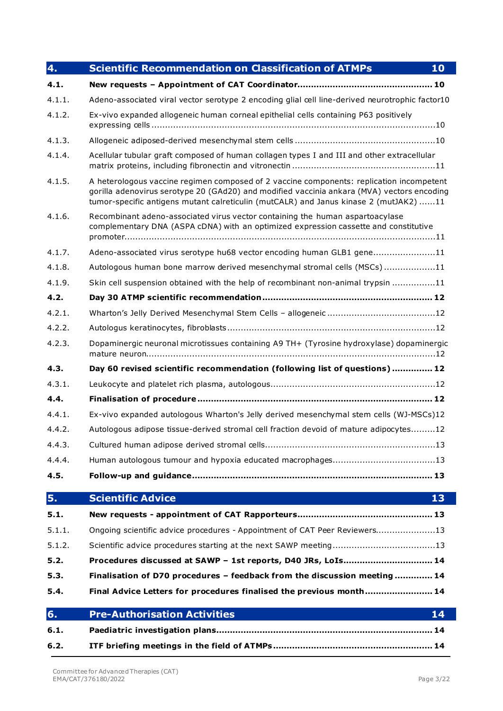| 4.     | <b>Scientific Recommendation on Classification of ATMPs</b><br>10                                                                                                                                                                                                               |  |  |  |
|--------|---------------------------------------------------------------------------------------------------------------------------------------------------------------------------------------------------------------------------------------------------------------------------------|--|--|--|
| 4.1.   |                                                                                                                                                                                                                                                                                 |  |  |  |
| 4.1.1. | Adeno-associated viral vector serotype 2 encoding glial cell line-derived neurotrophic factor10                                                                                                                                                                                 |  |  |  |
| 4.1.2. | Ex-vivo expanded allogeneic human corneal epithelial cells containing P63 positively                                                                                                                                                                                            |  |  |  |
| 4.1.3. |                                                                                                                                                                                                                                                                                 |  |  |  |
| 4.1.4. | Acellular tubular graft composed of human collagen types I and III and other extracellular                                                                                                                                                                                      |  |  |  |
| 4.1.5. | A heterologous vaccine regimen composed of 2 vaccine components: replication incompetent<br>gorilla adenovirus serotype 20 (GAd20) and modified vaccinia ankara (MVA) vectors encoding<br>tumor-specific antigens mutant calreticulin (mutCALR) and Janus kinase 2 (mutJAK2) 11 |  |  |  |
| 4.1.6. | Recombinant adeno-associated virus vector containing the human aspartoacylase<br>complementary DNA (ASPA cDNA) with an optimized expression cassette and constitutive                                                                                                           |  |  |  |
| 4.1.7. | Adeno-associated virus serotype hu68 vector encoding human GLB1 gene11                                                                                                                                                                                                          |  |  |  |
| 4.1.8. | Autologous human bone marrow derived mesenchymal stromal cells (MSCs)11                                                                                                                                                                                                         |  |  |  |
| 4.1.9. | Skin cell suspension obtained with the help of recombinant non-animal trypsin 11                                                                                                                                                                                                |  |  |  |
| 4.2.   |                                                                                                                                                                                                                                                                                 |  |  |  |
| 4.2.1. |                                                                                                                                                                                                                                                                                 |  |  |  |
| 4.2.2. |                                                                                                                                                                                                                                                                                 |  |  |  |
| 4.2.3. | Dopaminergic neuronal microtissues containing A9 TH+ (Tyrosine hydroxylase) dopaminergic                                                                                                                                                                                        |  |  |  |
| 4.3.   | Day 60 revised scientific recommendation (following list of questions) 12                                                                                                                                                                                                       |  |  |  |
| 4.3.1. |                                                                                                                                                                                                                                                                                 |  |  |  |
| 4.4.   |                                                                                                                                                                                                                                                                                 |  |  |  |
| 4.4.1. | Ex-vivo expanded autologous Wharton's Jelly derived mesenchymal stem cells (WJ-MSCs)12                                                                                                                                                                                          |  |  |  |
| 4.4.2. | Autologous adipose tissue-derived stromal cell fraction devoid of mature adipocytes12                                                                                                                                                                                           |  |  |  |
| 4.4.3. |                                                                                                                                                                                                                                                                                 |  |  |  |
| 4.4.4. | Human autologous tumour and hypoxia educated macrophages13                                                                                                                                                                                                                      |  |  |  |
| 4.5.   |                                                                                                                                                                                                                                                                                 |  |  |  |
| 5.     | <b>Scientific Advice</b><br>13                                                                                                                                                                                                                                                  |  |  |  |
| 5.1.   |                                                                                                                                                                                                                                                                                 |  |  |  |
| 5.1.1. | Ongoing scientific advice procedures - Appointment of CAT Peer Reviewers13                                                                                                                                                                                                      |  |  |  |
| 5.1.2. |                                                                                                                                                                                                                                                                                 |  |  |  |
| 5.2.   | Procedures discussed at SAWP - 1st reports, D40 JRs, LoIs 14                                                                                                                                                                                                                    |  |  |  |
| 5.3.   | Finalisation of D70 procedures - feedback from the discussion meeting  14                                                                                                                                                                                                       |  |  |  |
| 5.4.   | Final Advice Letters for procedures finalised the previous month 14                                                                                                                                                                                                             |  |  |  |
| 6.     | <b>Pre-Authorisation Activities</b><br>14                                                                                                                                                                                                                                       |  |  |  |
| 6.1.   |                                                                                                                                                                                                                                                                                 |  |  |  |
| 6.2.   |                                                                                                                                                                                                                                                                                 |  |  |  |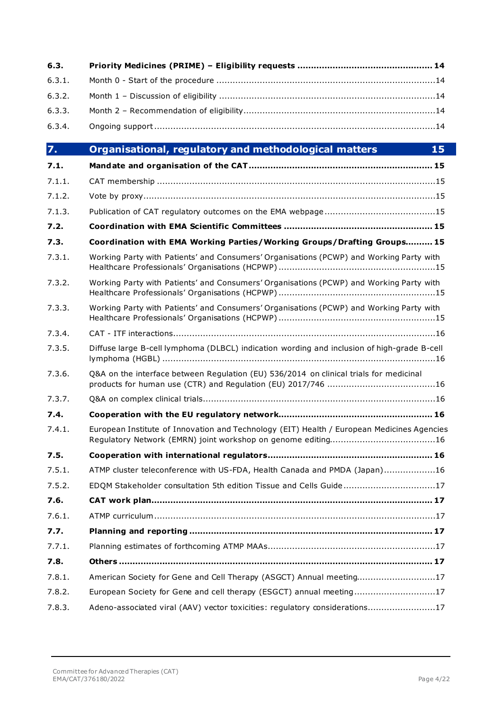| 6.3.             |                                                                                             |  |  |  |  |
|------------------|---------------------------------------------------------------------------------------------|--|--|--|--|
| 6.3.1.           |                                                                                             |  |  |  |  |
| 6.3.2.           |                                                                                             |  |  |  |  |
| 6.3.3.           |                                                                                             |  |  |  |  |
| 6.3.4.           |                                                                                             |  |  |  |  |
| $\overline{7}$ . | Organisational, regulatory and methodological matters<br>15                                 |  |  |  |  |
| 7.1.             |                                                                                             |  |  |  |  |
| 7.1.1.           |                                                                                             |  |  |  |  |
| 7.1.2.           |                                                                                             |  |  |  |  |
| 7.1.3.           |                                                                                             |  |  |  |  |
| 7.2.             |                                                                                             |  |  |  |  |
| 7.3.             | Coordination with EMA Working Parties/Working Groups/Drafting Groups 15                     |  |  |  |  |
| 7.3.1.           | Working Party with Patients' and Consumers' Organisations (PCWP) and Working Party with     |  |  |  |  |
| 7.3.2.           | Working Party with Patients' and Consumers' Organisations (PCWP) and Working Party with     |  |  |  |  |
| 7.3.3.           | Working Party with Patients' and Consumers' Organisations (PCWP) and Working Party with     |  |  |  |  |
| 7.3.4.           |                                                                                             |  |  |  |  |
| 7.3.5.           | Diffuse large B-cell lymphoma (DLBCL) indication wording and inclusion of high-grade B-cell |  |  |  |  |
| 7.3.6.           | Q&A on the interface between Regulation (EU) 536/2014 on clinical trials for medicinal      |  |  |  |  |
| 7.3.7.           |                                                                                             |  |  |  |  |
| 7.4.             |                                                                                             |  |  |  |  |
| 7.4.1.           | European Institute of Innovation and Technology (EIT) Health / European Medicines Agencies  |  |  |  |  |
| 7.5.             |                                                                                             |  |  |  |  |
| 7.5.1.           | ATMP cluster teleconference with US-FDA, Health Canada and PMDA (Japan)16                   |  |  |  |  |
| 7.5.2.           | EDQM Stakeholder consultation 5th edition Tissue and Cells Guide17                          |  |  |  |  |
| 7.6.             |                                                                                             |  |  |  |  |
| 7.6.1.           |                                                                                             |  |  |  |  |
| 7.7.             |                                                                                             |  |  |  |  |
| 7.7.1.           |                                                                                             |  |  |  |  |
| 7.8.             |                                                                                             |  |  |  |  |
| 7.8.1.           | American Society for Gene and Cell Therapy (ASGCT) Annual meeting17                         |  |  |  |  |
| 7.8.2.           | European Society for Gene and cell therapy (ESGCT) annual meeting17                         |  |  |  |  |
| 7.8.3.           | Adeno-associated viral (AAV) vector toxicities: regulatory considerations17                 |  |  |  |  |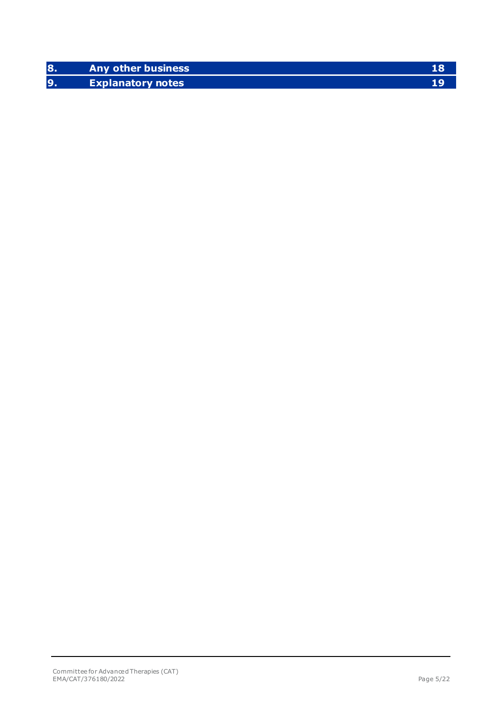| <b>Any other business</b> |  |
|---------------------------|--|
| <b>Explanatory notes</b>  |  |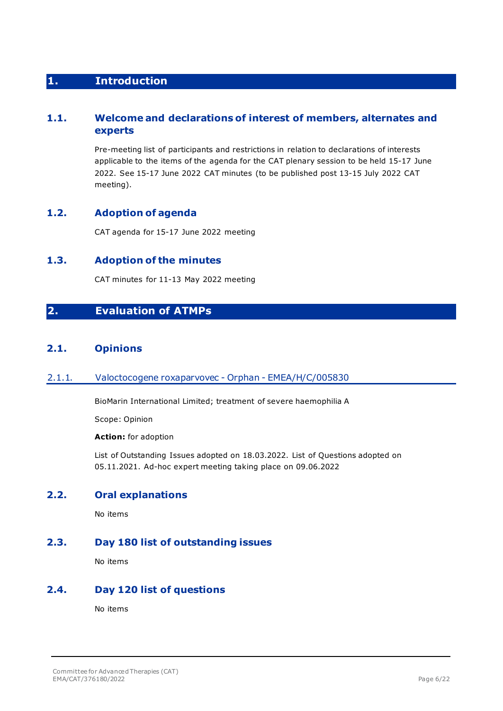## <span id="page-5-0"></span>**1. Introduction**

## <span id="page-5-1"></span>**1.1. Welcome and declarations of interest of members, alternates and experts**

Pre-meeting list of participants and restrictions in relation to declarations of interests applicable to the items of the agenda for the CAT plenary session to be held 15-17 June 2022. See 15-17 June 2022 CAT minutes (to be published post 13-15 July 2022 CAT meeting).

## <span id="page-5-2"></span>**1.2. Adoption of agenda**

CAT agenda for 15-17 June 2022 meeting

## <span id="page-5-3"></span>**1.3. Adoption of the minutes**

CAT minutes for 11-13 May 2022 meeting

## <span id="page-5-4"></span>**2. Evaluation of ATMPs**

## <span id="page-5-5"></span>**2.1. Opinions**

### <span id="page-5-6"></span>2.1.1. Valoctocogene roxaparvovec - Orphan - EMEA/H/C/005830

BioMarin International Limited; treatment of severe haemophilia A

Scope: Opinion

#### **Action:** for adoption

List of Outstanding Issues adopted on 18.03.2022. List of Questions adopted on 05.11.2021. Ad-hoc expert meeting taking place on 09.06.2022

## <span id="page-5-7"></span>**2.2. Oral explanations**

No items

## <span id="page-5-8"></span>**2.3. Day 180 list of outstanding issues**

No items

## <span id="page-5-9"></span>**2.4. Day 120 list of questions**

No items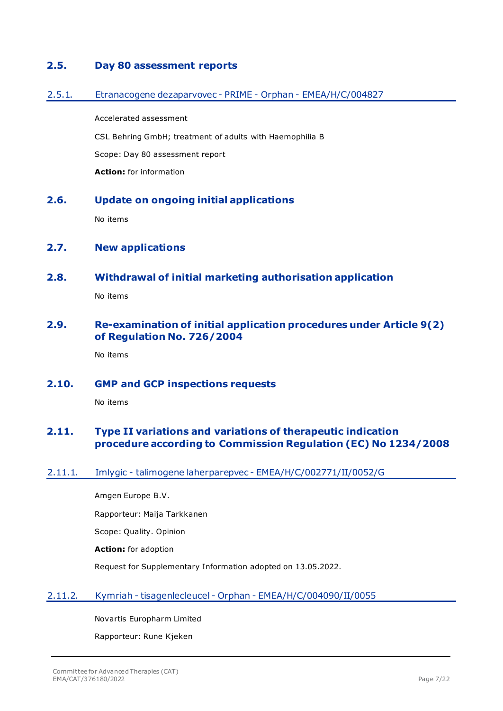## <span id="page-6-0"></span>**2.5. Day 80 assessment reports**

### <span id="page-6-1"></span>2.5.1. Etranacogene dezaparvovec - PRIME - Orphan - EMEA/H/C/004827

Accelerated assessment CSL Behring GmbH; treatment of adults with Haemophilia B Scope: Day 80 assessment report **Action:** for information

## <span id="page-6-2"></span>**2.6. Update on ongoing initial applications**

No items

## <span id="page-6-3"></span>**2.7. New applications**

### <span id="page-6-4"></span>**2.8. Withdrawal of initial marketing authorisation application**

No items

## <span id="page-6-5"></span>**2.9. Re-examination of initial application procedures under Article 9(2) of Regulation No. 726/2004**

No items

<span id="page-6-6"></span>**2.10. GMP and GCP inspections requests**

No items

## <span id="page-6-7"></span>**2.11. Type II variations and variations of therapeutic indication procedure according to Commission Regulation (EC) No 1234/2008**

### <span id="page-6-8"></span>2.11.1. Imlygic - talimogene laherparepvec - EMEA/H/C/002771/II/0052/G

Amgen Europe B.V.

Rapporteur: Maija Tarkkanen

Scope: Quality. Opinion

**Action:** for adoption

Request for Supplementary Information adopted on 13.05.2022.

## <span id="page-6-9"></span>2.11.2. Kymriah - tisagenlecleucel - Orphan - EMEA/H/C/004090/II/0055

Novartis Europharm Limited

Rapporteur: Rune Kjeken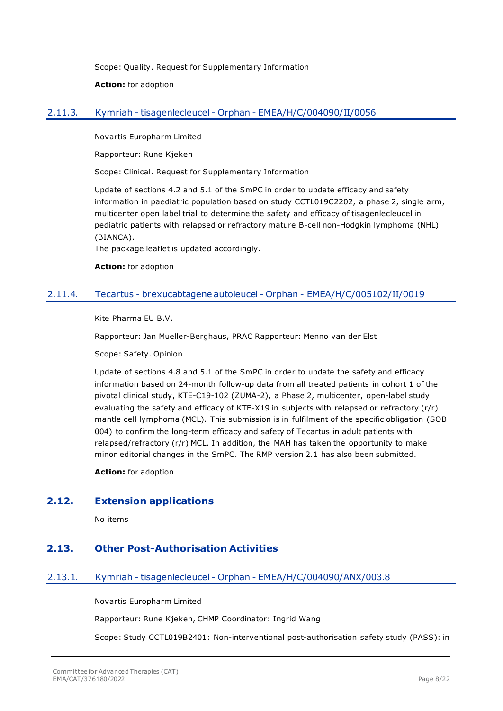Scope: Quality. Request for Supplementary Information

**Action:** for adoption

## <span id="page-7-0"></span>2.11.3. Kymriah - tisagenlecleucel - Orphan - EMEA/H/C/004090/II/0056

Novartis Europharm Limited

Rapporteur: Rune Kjeken

Scope: Clinical. Request for Supplementary Information

Update of sections 4.2 and 5.1 of the SmPC in order to update efficacy and safety information in paediatric population based on study CCTL019C2202, a phase 2, single arm, multicenter open label trial to determine the safety and efficacy of tisagenlecleucel in pediatric patients with relapsed or refractory mature B-cell non-Hodgkin lymphoma (NHL) (BIANCA).

The package leaflet is updated accordingly.

**Action:** for adoption

## <span id="page-7-1"></span>2.11.4. Tecartus - brexucabtagene autoleucel - Orphan - EMEA/H/C/005102/II/0019

Kite Pharma EU B.V.

Rapporteur: Jan Mueller-Berghaus, PRAC Rapporteur: Menno van der Elst

Scope: Safety. Opinion

Update of sections 4.8 and 5.1 of the SmPC in order to update the safety and efficacy information based on 24-month follow-up data from all treated patients in cohort 1 of the pivotal clinical study, KTE-C19-102 (ZUMA-2), a Phase 2, multicenter, open-label study evaluating the safety and efficacy of KTE-X19 in subjects with relapsed or refractory (r/r) mantle cell lymphoma (MCL). This submission is in fulfilment of the specific obligation (SOB 004) to confirm the long-term efficacy and safety of Tecartus in adult patients with relapsed/refractory (r/r) MCL. In addition, the MAH has taken the opportunity to make minor editorial changes in the SmPC. The RMP version 2.1 has also been submitted.

**Action:** for adoption

## <span id="page-7-2"></span>**2.12. Extension applications**

No items

## <span id="page-7-3"></span>**2.13. Other Post-Authorisation Activities**

## <span id="page-7-4"></span>2.13.1. Kymriah - tisagenlecleucel - Orphan - EMEA/H/C/004090/ANX/003.8

Novartis Europharm Limited

Rapporteur: Rune Kjeken, CHMP Coordinator: Ingrid Wang

Scope: Study CCTL019B2401: Non-interventional post-authorisation safety study (PASS): in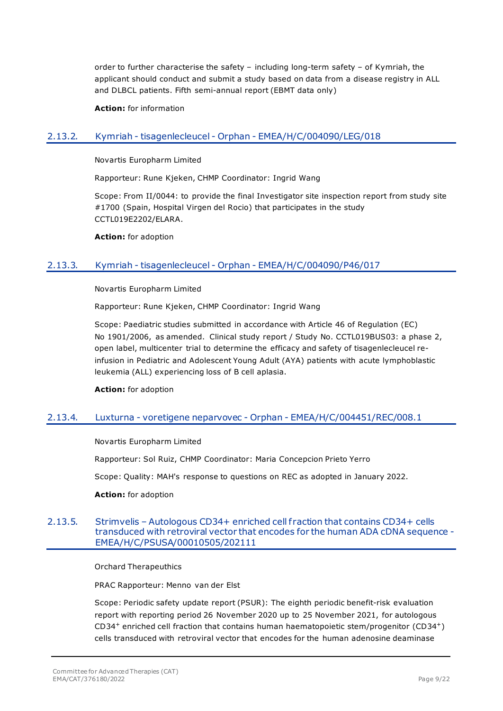order to further characterise the safety – including long-term safety – of Kymriah, the applicant should conduct and submit a study based on data from a disease registry in ALL and DLBCL patients. Fifth semi-annual report (EBMT data only)

**Action:** for information

## <span id="page-8-0"></span>2.13.2. Kymriah - tisagenlecleucel - Orphan - EMEA/H/C/004090/LEG/018

Novartis Europharm Limited

Rapporteur: Rune Kjeken, CHMP Coordinator: Ingrid Wang

Scope: From II/0044: to provide the final Investigator site inspection report from study site #1700 (Spain, Hospital Virgen del Rocio) that participates in the study CCTL019E2202/ELARA.

**Action:** for adoption

### <span id="page-8-1"></span>2.13.3. Kymriah - tisagenlecleucel - Orphan - EMEA/H/C/004090/P46/017

Novartis Europharm Limited

Rapporteur: Rune Kjeken, CHMP Coordinator: Ingrid Wang

Scope: Paediatric studies submitted in accordance with Article 46 of Regulation (EC) No 1901/2006, as amended. Clinical study report / Study No. CCTL019BUS03: a phase 2, open label, multicenter trial to determine the efficacy and safety of tisagenlecleucel reinfusion in Pediatric and Adolescent Young Adult (AYA) patients with acute lymphoblastic leukemia (ALL) experiencing loss of B cell aplasia.

**Action:** for adoption

### <span id="page-8-2"></span>2.13.4. Luxturna - voretigene neparvovec - Orphan - EMEA/H/C/004451/REC/008.1

Novartis Europharm Limited

Rapporteur: Sol Ruiz, CHMP Coordinator: Maria Concepcion Prieto Yerro

Scope: Quality: MAH's response to questions on REC as adopted in January 2022.

#### **Action:** for adoption

### <span id="page-8-3"></span>2.13.5. Strimvelis – Autologous CD34+ enriched cell f raction that contains CD34+ cells transduced with retroviral vector that encodes for the human ADA cDNA sequence - EMEA/H/C/PSUSA/00010505/202111

Orchard Therapeuthics

PRAC Rapporteur: Menno van der Elst

Scope: Periodic safety update report (PSUR): The eighth periodic benefit-risk evaluation report with reporting period 26 November 2020 up to 25 November 2021, for autologous CD34<sup>+</sup> enriched cell fraction that contains human haematopoietic stem/progenitor (CD34+) cells transduced with retroviral vector that encodes for the human adenosine deaminase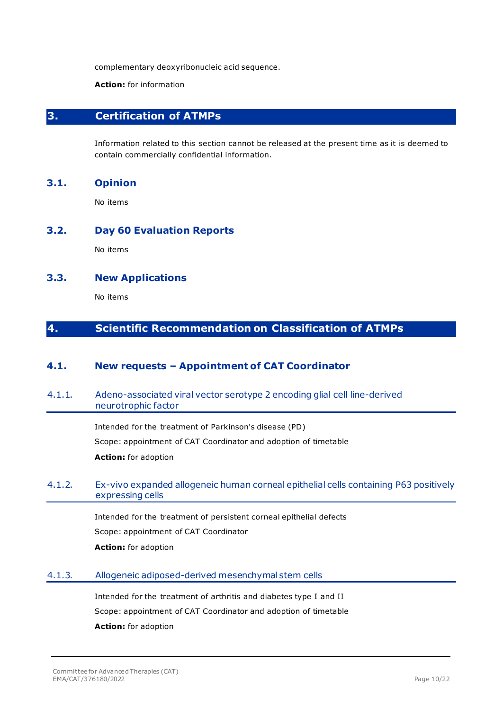complementary deoxyribonucleic acid sequence.

#### **Action:** for information

## <span id="page-9-0"></span>**3. Certification of ATMPs**

Information related to this section cannot be released at the present time as it is deemed to contain commercially confidential information.

### <span id="page-9-1"></span>**3.1. Opinion**

No items

### <span id="page-9-2"></span>**3.2. Day 60 Evaluation Reports**

No items

## <span id="page-9-3"></span>**3.3. New Applications**

No items

## <span id="page-9-4"></span>**4. Scientific Recommendation on Classification of ATMPs**

## <span id="page-9-5"></span>**4.1. New requests – Appointment of CAT Coordinator**

### <span id="page-9-6"></span>4.1.1. Adeno-associated viral vector serotype 2 encoding glial cell line-derived neurotrophic factor

Intended for the treatment of Parkinson's disease (PD) Scope: appointment of CAT Coordinator and adoption of timetable **Action:** for adoption

### <span id="page-9-7"></span>4.1.2. Ex-vivo expanded allogeneic human corneal epithelial cells containing P63 positively expressing cells

Intended for the treatment of persistent corneal epithelial defects

Scope: appointment of CAT Coordinator

**Action:** for adoption

### <span id="page-9-8"></span>4.1.3. Allogeneic adiposed-derived mesenchymal stem cells

Intended for the treatment of arthritis and diabetes type I and II Scope: appointment of CAT Coordinator and adoption of timetable **Action:** for adoption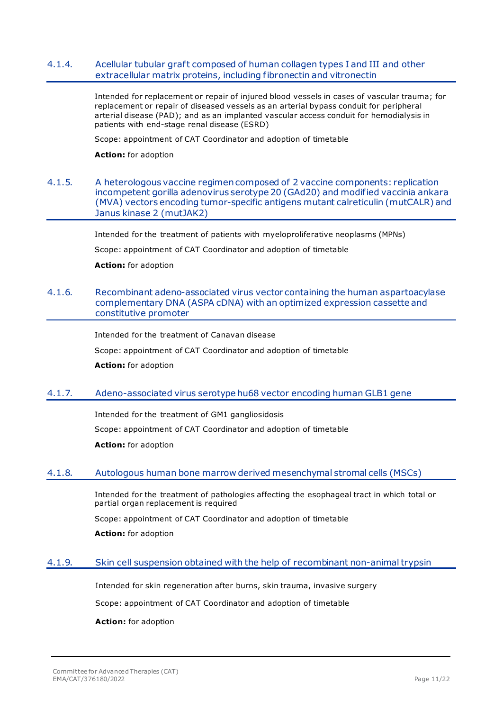### <span id="page-10-0"></span>4.1.4. Acellular tubular graft composed of human collagen types I and III and other extracellular matrix proteins, including fibronectin and vitronectin

Intended for replacement or repair of injured blood vessels in cases of vascular trauma; for replacement or repair of diseased vessels as an arterial bypass conduit for peripheral arterial disease (PAD); and as an implanted vascular access conduit for hemodialysis in patients with end-stage renal disease (ESRD)

Scope: appointment of CAT Coordinator and adoption of timetable

**Action:** for adoption

### <span id="page-10-1"></span>4.1.5. A heterologous vaccine regimen composed of 2 vaccine components: replication incompetent gorilla adenovirus serotype 20 (GAd20) and modified vaccinia ankara (MVA) vectors encoding tumor-specific antigens mutant calreticulin (mutCALR) and Janus kinase 2 (mutJAK2)

Intended for the treatment of patients with myeloproliferative neoplasms (MPNs)

Scope: appointment of CAT Coordinator and adoption of timetable

**Action:** for adoption

### <span id="page-10-2"></span>4.1.6. Recombinant adeno-associated virus vector containing the human aspartoacylase complementary DNA (ASPA cDNA) with an optimized expression cassette and constitutive promoter

Intended for the treatment of Canavan disease

Scope: appointment of CAT Coordinator and adoption of timetable

**Action:** for adoption

### <span id="page-10-3"></span>4.1.7. Adeno-associated virus serotype hu68 vector encoding human GLB1 gene

Intended for the treatment of GM1 gangliosidosis Scope: appointment of CAT Coordinator and adoption of timetable **Action:** for adoption

### <span id="page-10-4"></span>4.1.8. Autologous human bone marrow derived mesenchymal stromal cells (MSCs)

Intended for the treatment of pathologies affecting the esophageal tract in which total or partial organ replacement is required

Scope: appointment of CAT Coordinator and adoption of timetable

**Action:** for adoption

### <span id="page-10-5"></span>4.1.9. Skin cell suspension obtained with the help of recombinant non-animal trypsin

Intended for skin regeneration after burns, skin trauma, invasive surgery

Scope: appointment of CAT Coordinator and adoption of timetable

#### **Action:** for adoption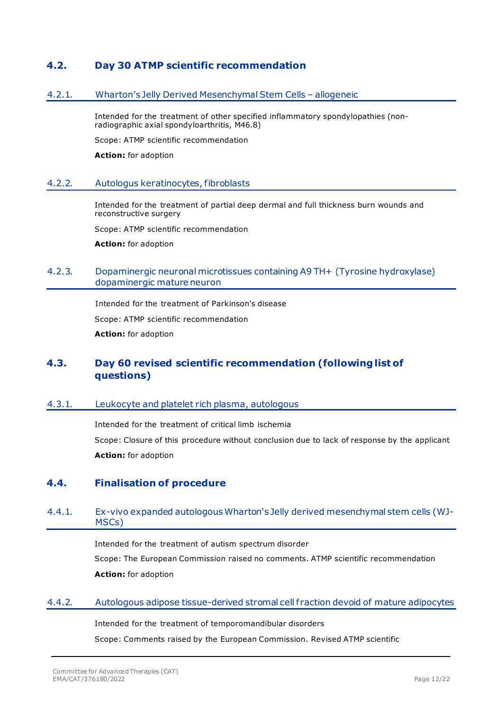## <span id="page-11-0"></span>**4.2. Day 30 ATMP scientific recommendation**

### <span id="page-11-1"></span>4.2.1. Wharton's Jelly Derived Mesenchymal Stem Cells – allogeneic

Intended for the treatment of other specified inflammatory spondylopathies (nonradiographic axial spondyloarthritis, M46.8)

Scope: ATMP scientific recommendation

**Action:** for adoption

### <span id="page-11-2"></span>4.2.2. Autologus keratinocytes, fibroblasts

Intended for the treatment of partial deep dermal and full thickness burn wounds and reconstructive surgery

Scope: ATMP scientific recommendation

**Action:** for adoption

## <span id="page-11-3"></span>4.2.3. Dopaminergic neuronal microtissues containing A9 TH+ (Tyrosine hydroxylase) dopaminergic mature neuron

Intended for the treatment of Parkinson's disease Scope: ATMP scientific recommendation **Action:** for adoption

## <span id="page-11-4"></span>**4.3. Day 60 revised scientific recommendation (following list of questions)**

### <span id="page-11-5"></span>4.3.1. Leukocyte and platelet rich plasma, autologous

Intended for the treatment of critical limb ischemia Scope: Closure of this procedure without conclusion due to lack of response by the applicant **Action:** for adoption

## <span id="page-11-6"></span>**4.4. Finalisation of procedure**

## <span id="page-11-7"></span>4.4.1. Ex-vivo expanded autologous Wharton's Jelly derived mesenchymal stem cells (WJ-MSCs)

Intended for the treatment of autism spectrum disorder Scope: The European Commission raised no comments. ATMP scientific recommendation **Action:** for adoption

### <span id="page-11-8"></span>4.4.2. Autologous adipose tissue-derived stromal cell fraction devoid of mature adipocytes

Intended for the treatment of temporomandibular disorders Scope: Comments raised by the European Commission. Revised ATMP scientific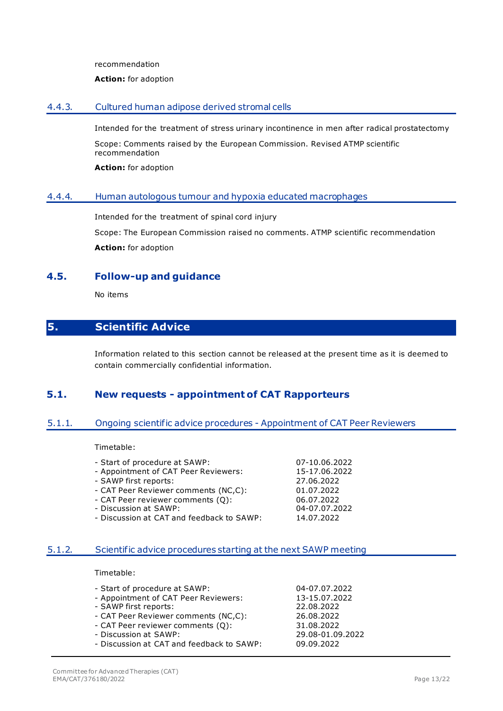recommendation

#### **Action:** for adoption

### <span id="page-12-0"></span>4.4.3. Cultured human adipose derived stromal cells

Intended for the treatment of stress urinary incontinence in men after radical prostatectomy

Scope: Comments raised by the European Commission. Revised ATMP scientific recommendation

**Action:** for adoption

### <span id="page-12-1"></span>4.4.4. Human autologous tumour and hypoxia educated macrophages

Intended for the treatment of spinal cord injury

Scope: The European Commission raised no comments. ATMP scientific recommendation **Action:** for adoption

## <span id="page-12-2"></span>**4.5. Follow-up and guidance**

No items

## <span id="page-12-3"></span>**5. Scientific Advice**

Information related to this section cannot be released at the present time as it is deemed to contain commercially confidential information.

## <span id="page-12-4"></span>**5.1. New requests - appointment of CAT Rapporteurs**

## <span id="page-12-5"></span>5.1.1. Ongoing scientific advice procedures - Appointment of CAT Peer Reviewers

Timetable:

- 
- Start of procedure at SAWP: 07-10.06.2022<br>- Appointment of CAT Peer Reviewers: 15-17.06.2022 - Appointment of CAT Peer Reviewers:
- SAWP first reports: 27.06.2022
- CAT Peer Reviewer comments (NC,C): 01.07.2022
- CAT Peer reviewer comments (Q): 06.07.2022
- Discussion at SAWP:
- Discussion at CAT and feedback to SAWP: 14.07.2022

## <span id="page-12-6"></span>5.1.2. Scientific advice procedures starting at the next SAWP meeting

Timetable:

| - Start of procedure at SAWP:             | 04-07.07.2022    |
|-------------------------------------------|------------------|
| - Appointment of CAT Peer Reviewers:      | 13-15.07.2022    |
| - SAWP first reports:                     | 22.08.2022       |
| - CAT Peer Reviewer comments (NC,C):      | 26.08.2022       |
| - CAT Peer reviewer comments (Q):         | 31.08.2022       |
| - Discussion at SAWP:                     | 29.08-01.09.2022 |
| - Discussion at CAT and feedback to SAWP: | 09.09.2022       |
|                                           |                  |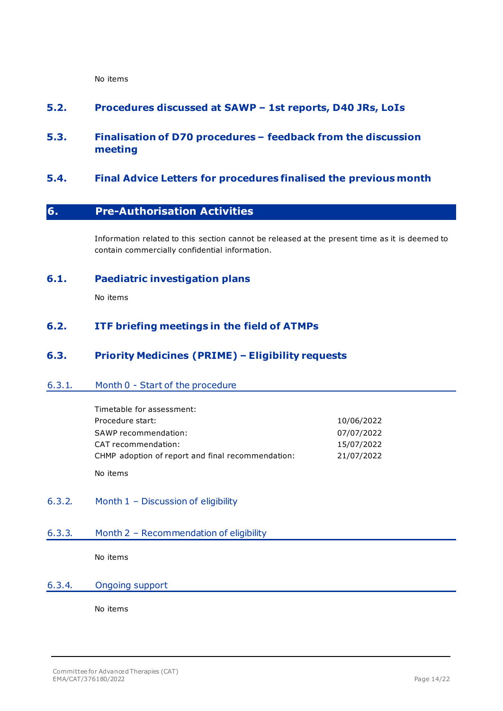No items

## <span id="page-13-0"></span>**5.2. Procedures discussed at SAWP – 1st reports, D40 JRs, LoIs**

## <span id="page-13-1"></span>**5.3. Finalisation of D70 procedures – feedback from the discussion meeting**

## <span id="page-13-2"></span>**5.4. Final Advice Letters for procedures finalised the previous month**

## <span id="page-13-3"></span>**6. Pre-Authorisation Activities**

Information related to this section cannot be released at the present time as it is deemed to contain commercially confidential information.

## <span id="page-13-4"></span>**6.1. Paediatric investigation plans**

No items

## <span id="page-13-5"></span>**6.2. ITF briefing meetings in the field of ATMPs**

## <span id="page-13-6"></span>**6.3. Priority Medicines (PRIME) – Eligibility requests**

### <span id="page-13-7"></span>6.3.1. Month 0 - Start of the procedure

| Timetable for assessment:                         |            |
|---------------------------------------------------|------------|
| Procedure start:                                  | 10/06/2022 |
| SAWP recommendation:                              | 07/07/2022 |
| CAT recommendation:                               | 15/07/2022 |
| CHMP adoption of report and final recommendation: | 21/07/2022 |
|                                                   |            |

No items

<span id="page-13-8"></span>6.3.2. Month 1 – Discussion of eligibility

### <span id="page-13-9"></span>6.3.3. Month 2 – Recommendation of eligibility

No items

### <span id="page-13-10"></span>6.3.4. Ongoing support

No items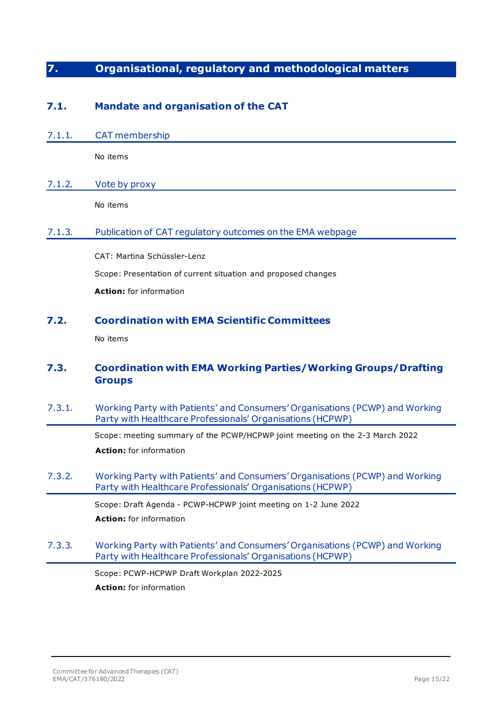## <span id="page-14-0"></span>**7. Organisational, regulatory and methodological matters**

## <span id="page-14-1"></span>**7.1. Mandate and organisation of the CAT**

<span id="page-14-2"></span>7.1.1. CAT membership

No items

## <span id="page-14-3"></span>7.1.2. Vote by proxy

No items

## <span id="page-14-4"></span>7.1.3. Publication of CAT regulatory outcomes on the EMA webpage

CAT: Martina Schüssler-Lenz Scope: Presentation of current situation and proposed changes **Action:** for information

## <span id="page-14-5"></span>**7.2. Coordination with EMA Scientific Committees**

No items

## <span id="page-14-6"></span>**7.3. Coordination with EMA Working Parties/Working Groups/Drafting Groups**

<span id="page-14-7"></span>7.3.1. Working Party with Patients' and Consumers' Organisations (PCWP) and Working Party with Healthcare Professionals' Organisations (HCPWP)

> Scope: meeting summary of the PCWP/HCPWP joint meeting on the 2-3 March 2022 **Action:** for information

<span id="page-14-8"></span>7.3.2. Working Party with Patients' and Consumers' Organisations (PCWP) and Working Party with Healthcare Professionals' Organisations (HCPWP)

> Scope: Draft Agenda - PCWP-HCPWP joint meeting on 1-2 June 2022 **Action:** for information

<span id="page-14-9"></span>7.3.3. Working Party with Patients' and Consumers' Organisations (PCWP) and Working Party with Healthcare Professionals' Organisations (HCPWP)

> Scope: PCWP-HCPWP Draft Workplan 2022-2025 **Action:** for information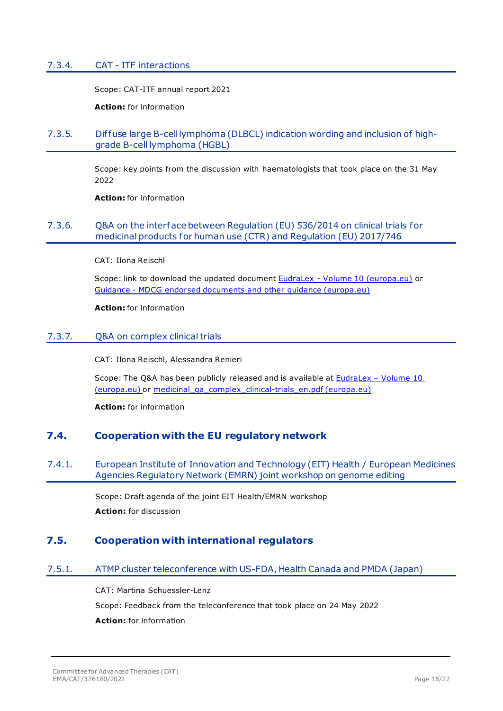### <span id="page-15-0"></span>7.3.4. CAT - ITF interactions

Scope: CAT-ITF annual report 2021

**Action:** for information

### <span id="page-15-1"></span>7.3.5. Dif fuse large B-cell lymphoma (DLBCL) indication wording and inclusion of highgrade B-cell lymphoma (HGBL)

Scope: key points from the discussion with haematologists that took place on the 31 May 2022

**Action:** for information

## <span id="page-15-2"></span>7.3.6. Q&A on the interface between Regulation (EU) 536/2014 on clinical trials for medicinal products for human use (CTR) and Regulation (EU) 2017/746

CAT: Ilona Reischl

Scope: link to download the updated document EudraLex - [Volume 10 \(europa.eu\)](https://ec.europa.eu/health/medicinal-products/eudralex/eudralex-volume-10_en) or Guidance - [MDCG endorsed documents and other guidance \(europa.eu\)](https://ec.europa.eu/health/medical-devices-sector/new-regulations/guidance-mdcg-endorsed-documents-and-other-guidance_en)

**Action:** for information

### <span id="page-15-3"></span>7.3.7. Q&A on complex clinical trials

CAT: Ilona Reischl, Alessandra Renieri

Scope: The Q&A has been publicly released and is available at **EudraLex - Volume 10** [\(europa.eu\)](https://ec.europa.eu/health/medicinal-products/eudralex/eudralex-volume-10_en) or [medicinal\\_qa\\_complex\\_clinical-trials\\_en.pdf \(europa.eu\)](https://ec.europa.eu/health/system/files/2022-06/medicinal_qa_complex_clinical-trials_en.pdf)

**Action:** for information

## <span id="page-15-4"></span>**7.4. Cooperation with the EU regulatory network**

### <span id="page-15-5"></span>7.4.1. European Institute of Innovation and Technology (EIT) Health / European Medicines Agencies Regulatory Network (EMRN) joint workshop on genome editing

Scope: Draft agenda of the joint EIT Health/EMRN workshop **Action:** for discussion

## <span id="page-15-6"></span>**7.5. Cooperation with international regulators**

<span id="page-15-7"></span>7.5.1. ATMP cluster teleconference with US-FDA, Health Canada and PMDA (Japan)

CAT: Martina Schuessler-Lenz Scope: Feedback from the teleconference that took place on 24 May 2022 **Action:** for information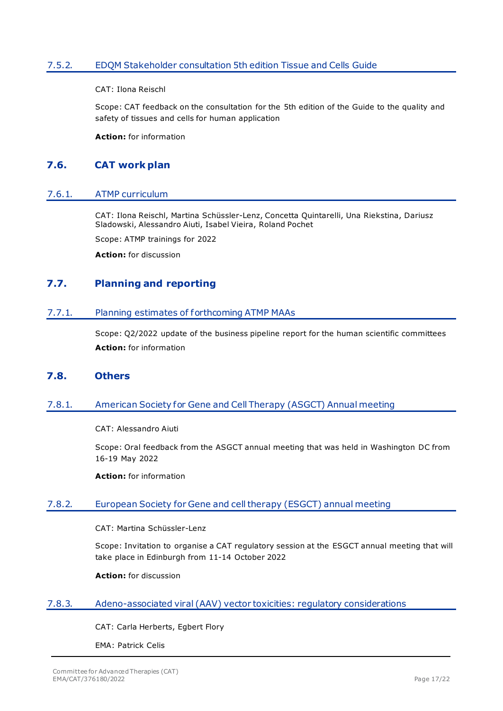## <span id="page-16-0"></span>7.5.2. EDQM Stakeholder consultation 5th edition Tissue and Cells Guide

CAT: Ilona Reischl

Scope: CAT feedback on the consultation for the 5th edition of the Guide to the quality and safety of tissues and cells for human application

**Action:** for information

## <span id="page-16-1"></span>**7.6. CAT work plan**

#### <span id="page-16-2"></span>7.6.1. ATMP curriculum

CAT: Ilona Reischl, Martina Schüssler-Lenz, Concetta Quintarelli, Una Riekstina, Dariusz Sladowski, Alessandro Aiuti, Isabel Vieira, Roland Pochet

Scope: ATMP trainings for 2022

**Action:** for discussion

## <span id="page-16-3"></span>**7.7. Planning and reporting**

#### <span id="page-16-4"></span>7.7.1. Planning estimates of forthcoming ATMP MAAs

Scope: Q2/2022 update of the business pipeline report for the human scientific committees **Action:** for information

### <span id="page-16-5"></span>**7.8. Others**

### <span id="page-16-6"></span>7.8.1. American Society for Gene and Cell Therapy (ASGCT) Annual meeting

CAT: Alessandro Aiuti

Scope: Oral feedback from the ASGCT annual meeting that was held in Washington DC from 16-19 May 2022

**Action:** for information

### <span id="page-16-7"></span>7.8.2. European Society for Gene and cell therapy (ESGCT) annual meeting

CAT: Martina Schüssler-Lenz

Scope: Invitation to organise a CAT regulatory session at the ESGCT annual meeting that will take place in Edinburgh from 11-14 October 2022

**Action:** for discussion

#### <span id="page-16-8"></span>7.8.3. Adeno-associated viral (AAV) vector toxicities: regulatory considerations

CAT: Carla Herberts, Egbert Flory

EMA: Patrick Celis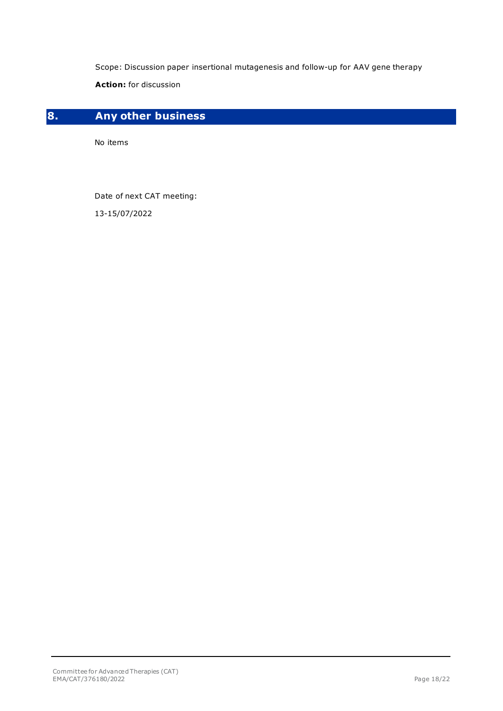Scope: Discussion paper insertional mutagenesis and follow-up for AAV gene therapy

**Action:** for discussion

# <span id="page-17-0"></span>**8. Any other business**

No items

Date of next CAT meeting:

13-15/07/2022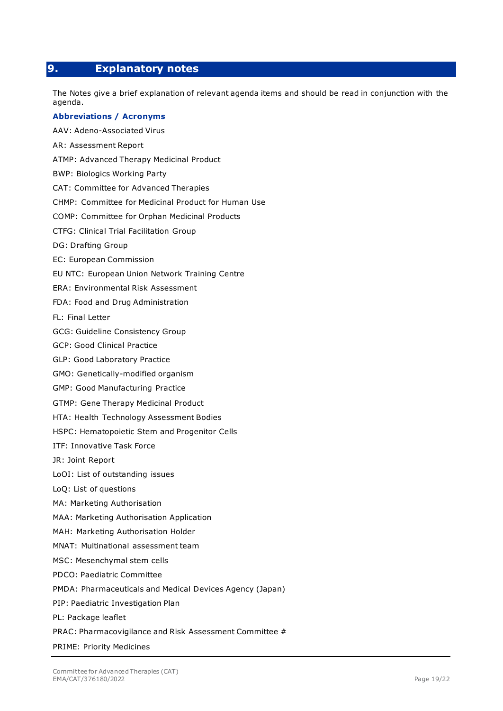## <span id="page-18-0"></span>**9. Explanatory notes**

The Notes give a brief explanation of relevant agenda items and should be read in conjunction with the agenda.

#### **Abbreviations / Acronyms**

AAV: Adeno-Associated Virus AR: Assessment Report ATMP: Advanced Therapy Medicinal Product BWP: Biologics Working Party CAT: Committee for Advanced Therapies CHMP: Committee for Medicinal Product for Human Use COMP: Committee for Orphan Medicinal Products CTFG: Clinical Trial Facilitation Group DG: Drafting Group EC: European Commission EU NTC: European Union Network Training Centre ERA: Environmental Risk Assessment FDA: Food and Drug Administration FL: Final Letter GCG: Guideline Consistency Group GCP: Good Clinical Practice GLP: Good Laboratory Practice GMO: Genetically-modified organism GMP: Good Manufacturing Practice GTMP: Gene Therapy Medicinal Product HTA: Health Technology Assessment Bodies HSPC: Hematopoietic Stem and Progenitor Cells ITF: Innovative Task Force JR: Joint Report LoOI: List of outstanding issues LoQ: List of questions MA: Marketing Authorisation MAA: Marketing Authorisation Application MAH: Marketing Authorisation Holder MNAT: Multinational assessment team MSC: Mesenchymal stem cells PDCO: Paediatric Committee PMDA: [Pharmaceuticals and Medical Devices Agency](http://www.google.co.uk/url?url=http://www.pmda.go.jp/english/&rct=j&frm=1&q=&esrc=s&sa=U&ved=0ahUKEwi08422gdXLAhVGuhoKHUlUD9MQFggVMAA&usg=AFQjCNEM7RXAZJ9HNzWc1iLLlHkUFC6BXQ) (Japan) PIP: Paediatric Investigation Plan PL: Package leaflet PRAC: Pharmacovigilance and Risk Assessment Committee # PRIME: Priority Medicines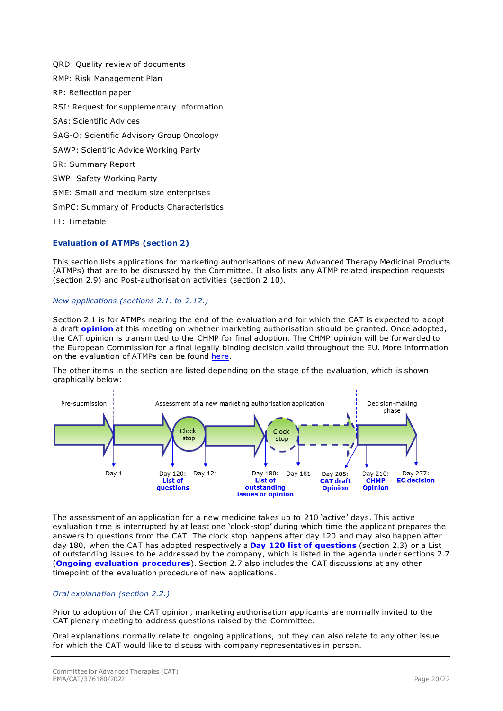QRD: Quality review of documents RMP: Risk Management Plan RP: Reflection paper RSI: Request for supplementary information SAs: Scientific Advices SAG-O: Scientific Advisory Group Oncology SAWP: Scientific Advice Working Party SR: Summary Report SWP: Safety Working Party SME: Small and medium size enterprises SmPC: Summary of Products Characteristics TT: Timetable

### **Evaluation of ATMPs (section 2)**

This section lists applications for marketing authorisations of new Advanced Therapy Medicinal Products (ATMPs) that are to be discussed by the Committee. It also lists any ATMP related inspection requests (section 2.9) and Post-authorisation activities (section 2.10).

*New applications (sections 2.1. to 2.12.)*

Section 2.1 is for ATMPs nearing the end of the evaluation and for which the CAT is expected to adopt a draft **opinion** at this meeting on whether marketing authorisation should be granted. Once adopted, the CAT opinion is transmitted to the CHMP for final adoption. The CHMP opinion will be forwarded to the European Commission for a final legally binding decision valid throughout the EU. More information on the evaluation of ATMPs can be found [here.](http://www.ema.europa.eu/docs/en_GB/document_library/Regulatory_and_procedural_guideline/2010/02/WC500070340.pdf)

The other items in the section are listed depending on the stage of the evaluation, which is shown graphically below:



The assessment of an application for a new medicine takes up to 210 'active' days. This active evaluation time is interrupted by at least one 'clock-stop' during which time the applicant prepares the answers to questions from the CAT. The clock stop happens after day 120 and may also happen after day 180, when the CAT has adopted respectively a **Day 120 list of questions** (section 2.3) or a List of outstanding issues to be addressed by the company, which is listed in the agenda under sections 2.7 (**Ongoing evaluation procedures**). Section 2.7 also includes the CAT discussions at any other timepoint of the evaluation procedure of new applications.

### *Oral explanation (section 2.2.)*

Prior to adoption of the CAT opinion, marketing authorisation applicants are normally invited to the CAT plenary meeting to address questions raised by the Committee.

Oral explanations normally relate to ongoing applications, but they can also relate to any other issue for which the CAT would like to discuss with company representatives in person.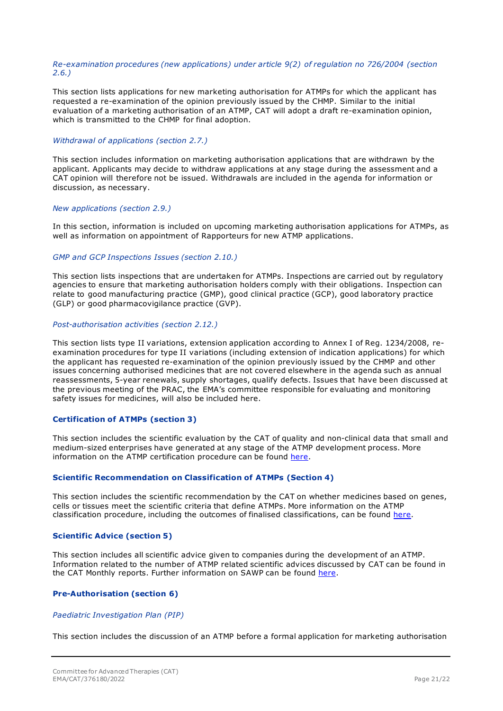#### *Re-examination procedures (new applications) under article 9(2) of regulation no 726/2004 (section 2.6.)*

This section lists applications for new marketing authorisation for ATMPs for which the applicant has requested a re-examination of the opinion previously issued by the CHMP. Similar to the initial evaluation of a marketing authorisation of an ATMP, CAT will adopt a draft re-examination opinion, which is transmitted to the CHMP for final adoption.

#### *Withdrawal of applications (section 2.7.)*

This section includes information on marketing authorisation applications that are withdrawn by the applicant. Applicants may decide to withdraw applications at any stage during the assessment and a CAT opinion will therefore not be issued. Withdrawals are included in the agenda for information or discussion, as necessary.

#### *New applications (section 2.9.)*

In this section, information is included on upcoming marketing authorisation applications for ATMPs, as well as information on appointment of Rapporteurs for new ATMP applications.

#### *GMP and GCP Inspections Issues (section 2.10.)*

This section lists inspections that are undertaken for ATMPs. Inspections are carried out by regulatory agencies to ensure that marketing authorisation holders comply with their obligations. Inspection can relate to good manufacturing practice (GMP), good clinical practice (GCP), good laboratory practice (GLP) or good pharmacovigilance practice (GVP).

#### *Post-authorisation activities (section 2.12.)*

This section lists type II variations, extension application according to Annex I of Reg. 1234/2008, reexamination procedures for type II variations (including extension of indication applications) for which the applicant has requested re-examination of the opinion previously issued by the CHMP and other issues concerning authorised medicines that are not covered elsewhere in the agenda such as annual reassessments, 5-year renewals, supply shortages, qualify defects. Issues that have been discussed at the previous meeting of the PRAC, the EMA's committee responsible for evaluating and monitoring safety issues for medicines, will also be included here.

#### **Certification of ATMPs (section 3)**

This section includes the scientific evaluation by the CAT of quality and non-clinical data that small and medium-sized enterprises have generated at any stage of the ATMP development process. More information on the ATMP certification procedure can be found [here.](http://www.ema.europa.eu/ema/index.jsp?curl=pages/regulation/general/general_content_000300.jsp&mid=WC0b01ac058007f4bd)

#### **Scientific Recommendation on Classification of ATMPs (Section 4)**

This section includes the scientific recommendation by the CAT on whether medicines based on genes, cells or tissues meet the scientific criteria that define ATMPs. More information on the ATMP classification procedure, including the outcomes of finalised classifications, can be found [here.](http://www.ema.europa.eu/ema/index.jsp?curl=pages/regulation/general/general_content_000296.jsp&mid=WC0b01ac058007f4bc)

#### **Scientific Advice (section 5)**

This section includes all scientific advice given to companies during the development of an ATMP. Information related to the number of ATMP related scientific advices discussed by CAT can be found in the CAT Monthly reports. Further information on SAWP can be found [here.](http://www.ema.europa.eu/ema/index.jsp?curl=pages/regulation/general/general_content_000049.jsp&mid=WC0b01ac05800229b9)

#### **Pre-Authorisation (section 6)**

#### *Paediatric Investigation Plan (PIP)*

This section includes the discussion of an ATMP before a formal application for marketing authorisation